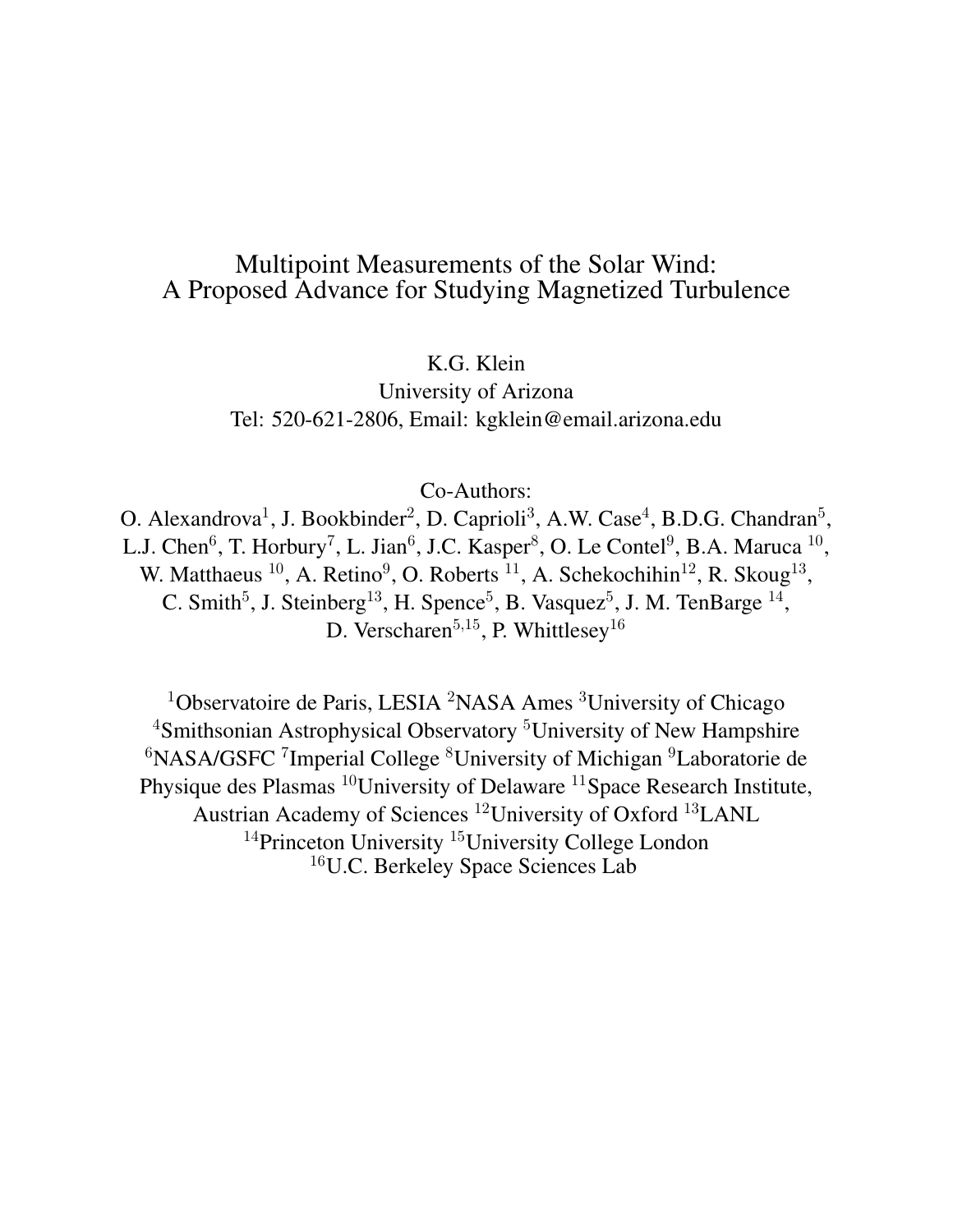## Multipoint Measurements of the Solar Wind: A Proposed Advance for Studying Magnetized Turbulence

K.G. Klein

University of Arizona Tel: 520-621-2806, Email: kgklein@email.arizona.edu

Co-Authors:

O. Alexandrova<sup>1</sup>, J. Bookbinder<sup>2</sup>, D. Caprioli<sup>3</sup>, A.W. Case<sup>4</sup>, B.D.G. Chandran<sup>5</sup>, L.J. Chen<sup>6</sup>, T. Horbury<sup>7</sup>, L. Jian<sup>6</sup>, J.C. Kasper<sup>8</sup>, O. Le Contel<sup>9</sup>, B.A. Maruca <sup>10</sup>, W. Matthaeus  $^{10}$ , A. Retino<sup>9</sup>, O. Roberts  $^{11}$ , A. Schekochihin<sup>12</sup>, R. Skoug<sup>13</sup>, C. Smith<sup>5</sup>, J. Steinberg<sup>13</sup>, H. Spence<sup>5</sup>, B. Vasquez<sup>5</sup>, J. M. TenBarge<sup>14</sup>, D. Verscharen<sup>5,15</sup>, P. Whittlesey<sup>16</sup>

<sup>1</sup>Observatoire de Paris, LESIA <sup>2</sup>NASA Ames <sup>3</sup>University of Chicago <sup>4</sup>Smithsonian Astrophysical Observatory<sup>5</sup>University of New Hampshire  ${}^{6}$ NASA/GSFC<sup>7</sup>Imperial College  ${}^{8}$ University of Michigan  ${}^{9}$ Laboratorie de Physique des Plasmas <sup>10</sup>University of Delaware <sup>11</sup>Space Research Institute, Austrian Academy of Sciences <sup>12</sup>University of Oxford <sup>13</sup>LANL <sup>14</sup>Princeton University<sup>15</sup>University College London <sup>16</sup>U.C. Berkeley Space Sciences Lab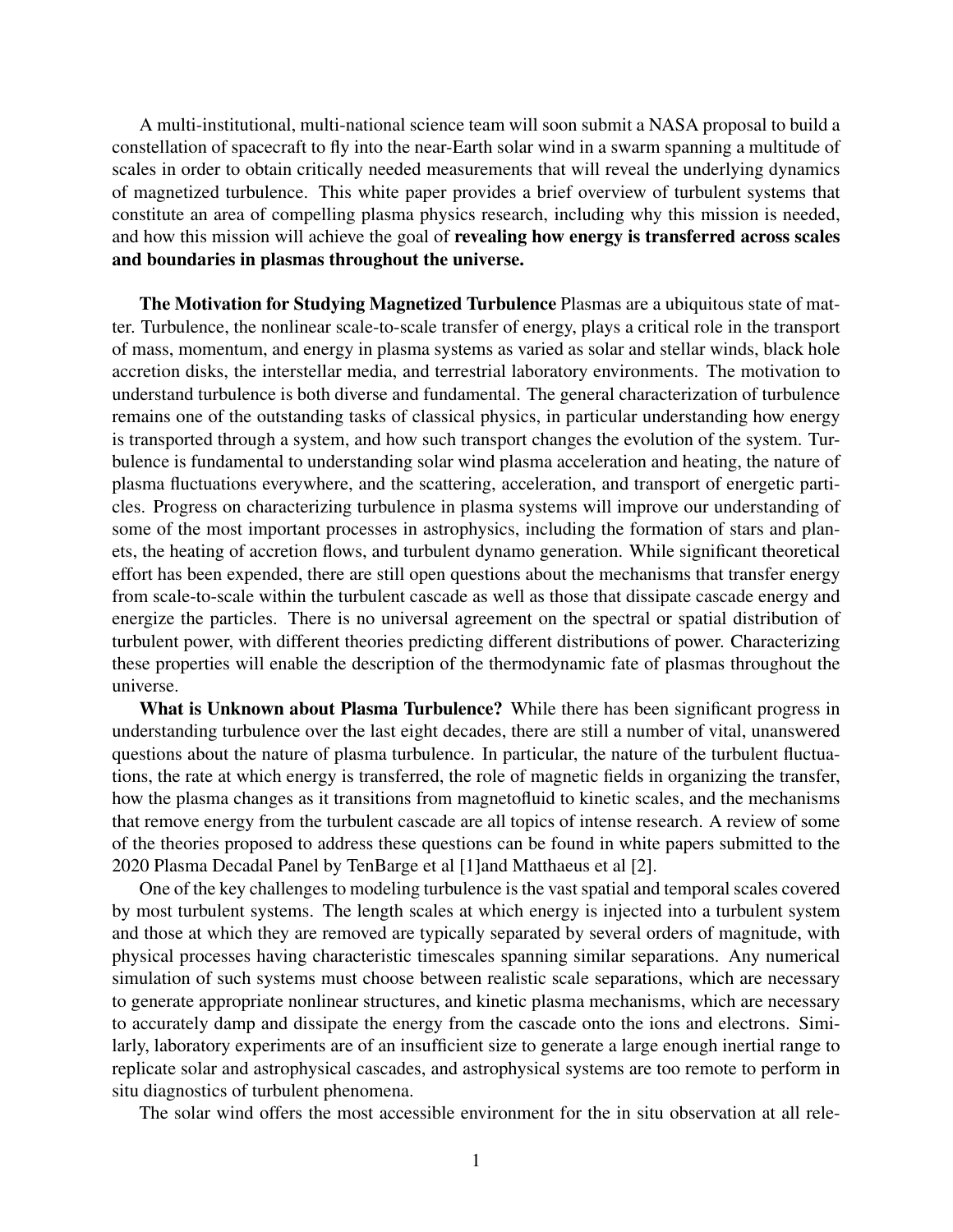A multi-institutional, multi-national science team will soon submit a NASA proposal to build a constellation of spacecraft to fly into the near-Earth solar wind in a swarm spanning a multitude of scales in order to obtain critically needed measurements that will reveal the underlying dynamics of magnetized turbulence. This white paper provides a brief overview of turbulent systems that constitute an area of compelling plasma physics research, including why this mission is needed, and how this mission will achieve the goal of revealing how energy is transferred across scales and boundaries in plasmas throughout the universe.

The Motivation for Studying Magnetized Turbulence Plasmas are a ubiquitous state of matter. Turbulence, the nonlinear scale-to-scale transfer of energy, plays a critical role in the transport of mass, momentum, and energy in plasma systems as varied as solar and stellar winds, black hole accretion disks, the interstellar media, and terrestrial laboratory environments. The motivation to understand turbulence is both diverse and fundamental. The general characterization of turbulence remains one of the outstanding tasks of classical physics, in particular understanding how energy is transported through a system, and how such transport changes the evolution of the system. Turbulence is fundamental to understanding solar wind plasma acceleration and heating, the nature of plasma fluctuations everywhere, and the scattering, acceleration, and transport of energetic particles. Progress on characterizing turbulence in plasma systems will improve our understanding of some of the most important processes in astrophysics, including the formation of stars and planets, the heating of accretion flows, and turbulent dynamo generation. While significant theoretical effort has been expended, there are still open questions about the mechanisms that transfer energy from scale-to-scale within the turbulent cascade as well as those that dissipate cascade energy and energize the particles. There is no universal agreement on the spectral or spatial distribution of turbulent power, with different theories predicting different distributions of power. Characterizing these properties will enable the description of the thermodynamic fate of plasmas throughout the universe.

What is Unknown about Plasma Turbulence? While there has been significant progress in understanding turbulence over the last eight decades, there are still a number of vital, unanswered questions about the nature of plasma turbulence. In particular, the nature of the turbulent fluctuations, the rate at which energy is transferred, the role of magnetic fields in organizing the transfer, how the plasma changes as it transitions from magnetofluid to kinetic scales, and the mechanisms that remove energy from the turbulent cascade are all topics of intense research. A review of some of the theories proposed to address these questions can be found in white papers submitted to the 2020 Plasma Decadal Panel by TenBarge et al [1]and Matthaeus et al [2].

One of the key challenges to modeling turbulence is the vast spatial and temporal scales covered by most turbulent systems. The length scales at which energy is injected into a turbulent system and those at which they are removed are typically separated by several orders of magnitude, with physical processes having characteristic timescales spanning similar separations. Any numerical simulation of such systems must choose between realistic scale separations, which are necessary to generate appropriate nonlinear structures, and kinetic plasma mechanisms, which are necessary to accurately damp and dissipate the energy from the cascade onto the ions and electrons. Similarly, laboratory experiments are of an insufficient size to generate a large enough inertial range to replicate solar and astrophysical cascades, and astrophysical systems are too remote to perform in situ diagnostics of turbulent phenomena.

The solar wind offers the most accessible environment for the in situ observation at all rele-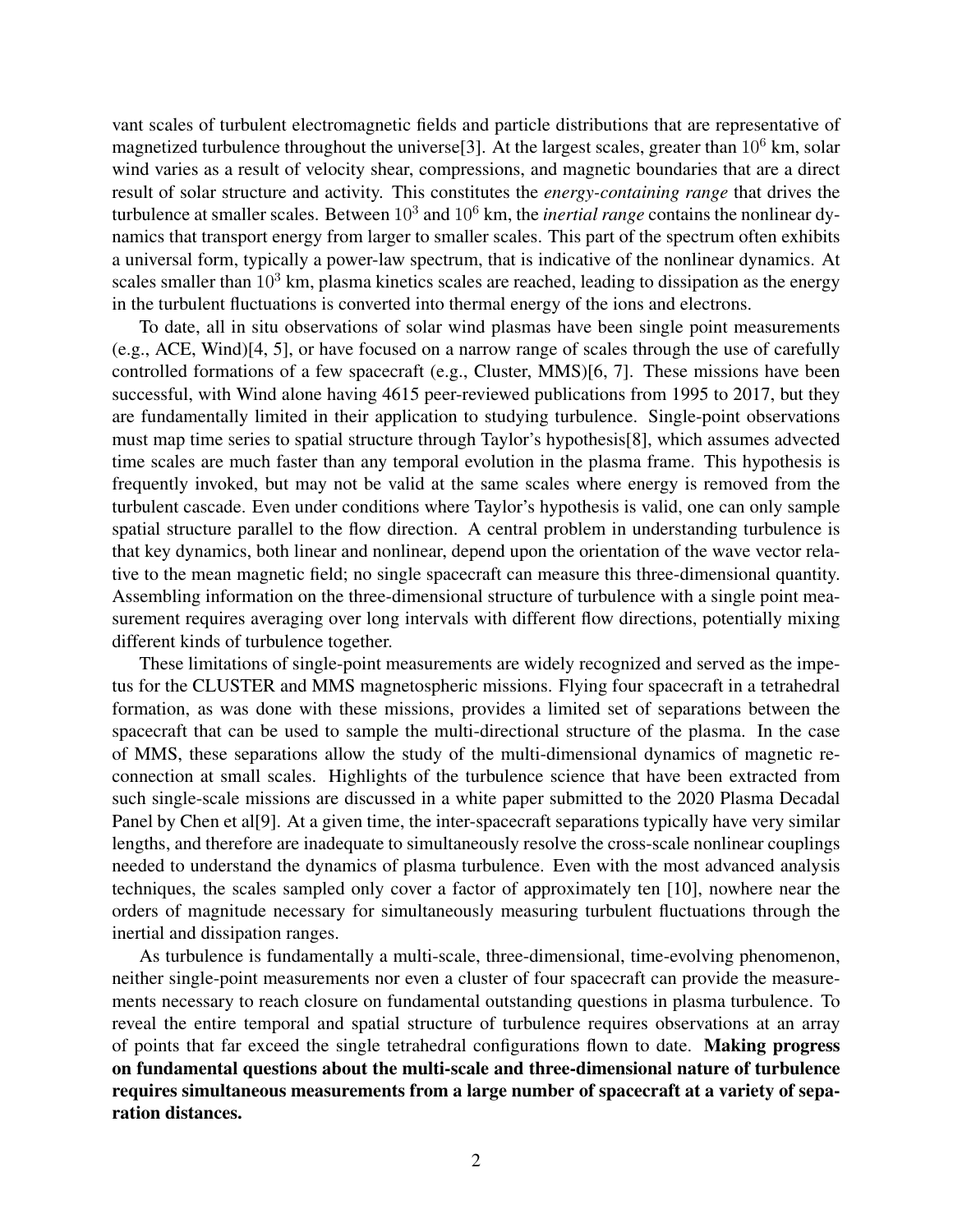vant scales of turbulent electromagnetic fields and particle distributions that are representative of magnetized turbulence throughout the universe<sup>[3]</sup>. At the largest scales, greater than  $10^6$  km, solar wind varies as a result of velocity shear, compressions, and magnetic boundaries that are a direct result of solar structure and activity. This constitutes the *energy-containing range* that drives the turbulence at smaller scales. Between 10<sup>3</sup> and 10<sup>6</sup> km, the *inertial range* contains the nonlinear dynamics that transport energy from larger to smaller scales. This part of the spectrum often exhibits a universal form, typically a power-law spectrum, that is indicative of the nonlinear dynamics. At scales smaller than  $10<sup>3</sup>$  km, plasma kinetics scales are reached, leading to dissipation as the energy in the turbulent fluctuations is converted into thermal energy of the ions and electrons.

To date, all in situ observations of solar wind plasmas have been single point measurements (e.g., ACE, Wind)[4, 5], or have focused on a narrow range of scales through the use of carefully controlled formations of a few spacecraft (e.g., Cluster, MMS)[6, 7]. These missions have been successful, with Wind alone having 4615 peer-reviewed publications from 1995 to 2017, but they are fundamentally limited in their application to studying turbulence. Single-point observations must map time series to spatial structure through Taylor's hypothesis[8], which assumes advected time scales are much faster than any temporal evolution in the plasma frame. This hypothesis is frequently invoked, but may not be valid at the same scales where energy is removed from the turbulent cascade. Even under conditions where Taylor's hypothesis is valid, one can only sample spatial structure parallel to the flow direction. A central problem in understanding turbulence is that key dynamics, both linear and nonlinear, depend upon the orientation of the wave vector relative to the mean magnetic field; no single spacecraft can measure this three-dimensional quantity. Assembling information on the three-dimensional structure of turbulence with a single point measurement requires averaging over long intervals with different flow directions, potentially mixing different kinds of turbulence together.

These limitations of single-point measurements are widely recognized and served as the impetus for the CLUSTER and MMS magnetospheric missions. Flying four spacecraft in a tetrahedral formation, as was done with these missions, provides a limited set of separations between the spacecraft that can be used to sample the multi-directional structure of the plasma. In the case of MMS, these separations allow the study of the multi-dimensional dynamics of magnetic reconnection at small scales. Highlights of the turbulence science that have been extracted from such single-scale missions are discussed in a white paper submitted to the 2020 Plasma Decadal Panel by Chen et al<sup>[9]</sup>. At a given time, the inter-spacecraft separations typically have very similar lengths, and therefore are inadequate to simultaneously resolve the cross-scale nonlinear couplings needed to understand the dynamics of plasma turbulence. Even with the most advanced analysis techniques, the scales sampled only cover a factor of approximately ten [10], nowhere near the orders of magnitude necessary for simultaneously measuring turbulent fluctuations through the inertial and dissipation ranges.

As turbulence is fundamentally a multi-scale, three-dimensional, time-evolving phenomenon, neither single-point measurements nor even a cluster of four spacecraft can provide the measurements necessary to reach closure on fundamental outstanding questions in plasma turbulence. To reveal the entire temporal and spatial structure of turbulence requires observations at an array of points that far exceed the single tetrahedral configurations flown to date. Making progress on fundamental questions about the multi-scale and three-dimensional nature of turbulence requires simultaneous measurements from a large number of spacecraft at a variety of separation distances.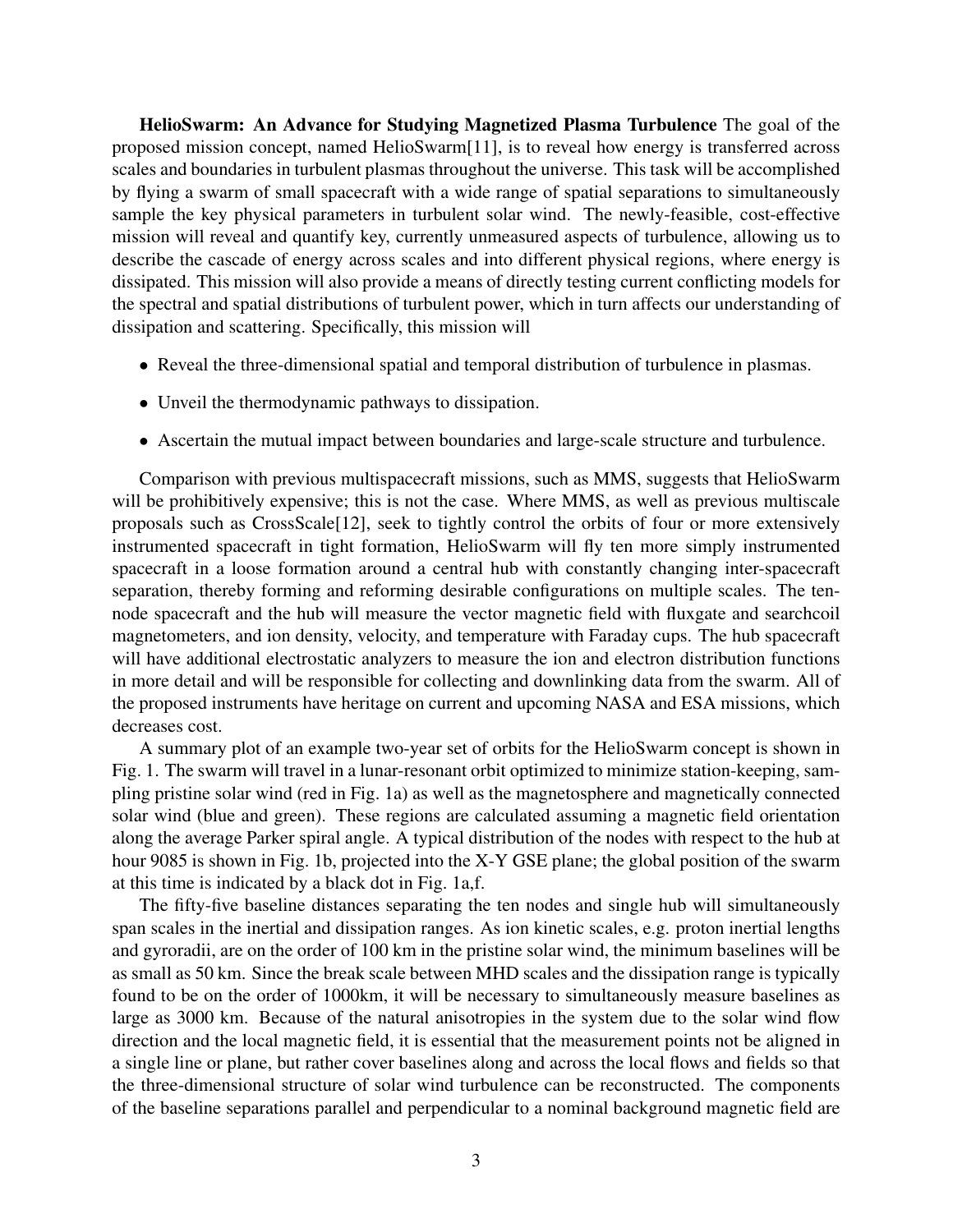HelioSwarm: An Advance for Studying Magnetized Plasma Turbulence The goal of the proposed mission concept, named HelioSwarm[11], is to reveal how energy is transferred across scales and boundaries in turbulent plasmas throughout the universe. This task will be accomplished by flying a swarm of small spacecraft with a wide range of spatial separations to simultaneously sample the key physical parameters in turbulent solar wind. The newly-feasible, cost-effective mission will reveal and quantify key, currently unmeasured aspects of turbulence, allowing us to describe the cascade of energy across scales and into different physical regions, where energy is dissipated. This mission will also provide a means of directly testing current conflicting models for the spectral and spatial distributions of turbulent power, which in turn affects our understanding of dissipation and scattering. Specifically, this mission will

- Reveal the three-dimensional spatial and temporal distribution of turbulence in plasmas.
- Unveil the thermodynamic pathways to dissipation.
- Ascertain the mutual impact between boundaries and large-scale structure and turbulence.

Comparison with previous multispacecraft missions, such as MMS, suggests that HelioSwarm will be prohibitively expensive; this is not the case. Where MMS, as well as previous multiscale proposals such as CrossScale[12], seek to tightly control the orbits of four or more extensively instrumented spacecraft in tight formation, HelioSwarm will fly ten more simply instrumented spacecraft in a loose formation around a central hub with constantly changing inter-spacecraft separation, thereby forming and reforming desirable configurations on multiple scales. The tennode spacecraft and the hub will measure the vector magnetic field with fluxgate and searchcoil magnetometers, and ion density, velocity, and temperature with Faraday cups. The hub spacecraft will have additional electrostatic analyzers to measure the ion and electron distribution functions in more detail and will be responsible for collecting and downlinking data from the swarm. All of the proposed instruments have heritage on current and upcoming NASA and ESA missions, which decreases cost.

A summary plot of an example two-year set of orbits for the HelioSwarm concept is shown in Fig. 1. The swarm will travel in a lunar-resonant orbit optimized to minimize station-keeping, sampling pristine solar wind (red in Fig. 1a) as well as the magnetosphere and magnetically connected solar wind (blue and green). These regions are calculated assuming a magnetic field orientation along the average Parker spiral angle. A typical distribution of the nodes with respect to the hub at hour 9085 is shown in Fig. 1b, projected into the X-Y GSE plane; the global position of the swarm at this time is indicated by a black dot in Fig. 1a,f.

The fifty-five baseline distances separating the ten nodes and single hub will simultaneously span scales in the inertial and dissipation ranges. As ion kinetic scales, e.g. proton inertial lengths and gyroradii, are on the order of 100 km in the pristine solar wind, the minimum baselines will be as small as 50 km. Since the break scale between MHD scales and the dissipation range is typically found to be on the order of 1000km, it will be necessary to simultaneously measure baselines as large as 3000 km. Because of the natural anisotropies in the system due to the solar wind flow direction and the local magnetic field, it is essential that the measurement points not be aligned in a single line or plane, but rather cover baselines along and across the local flows and fields so that the three-dimensional structure of solar wind turbulence can be reconstructed. The components of the baseline separations parallel and perpendicular to a nominal background magnetic field are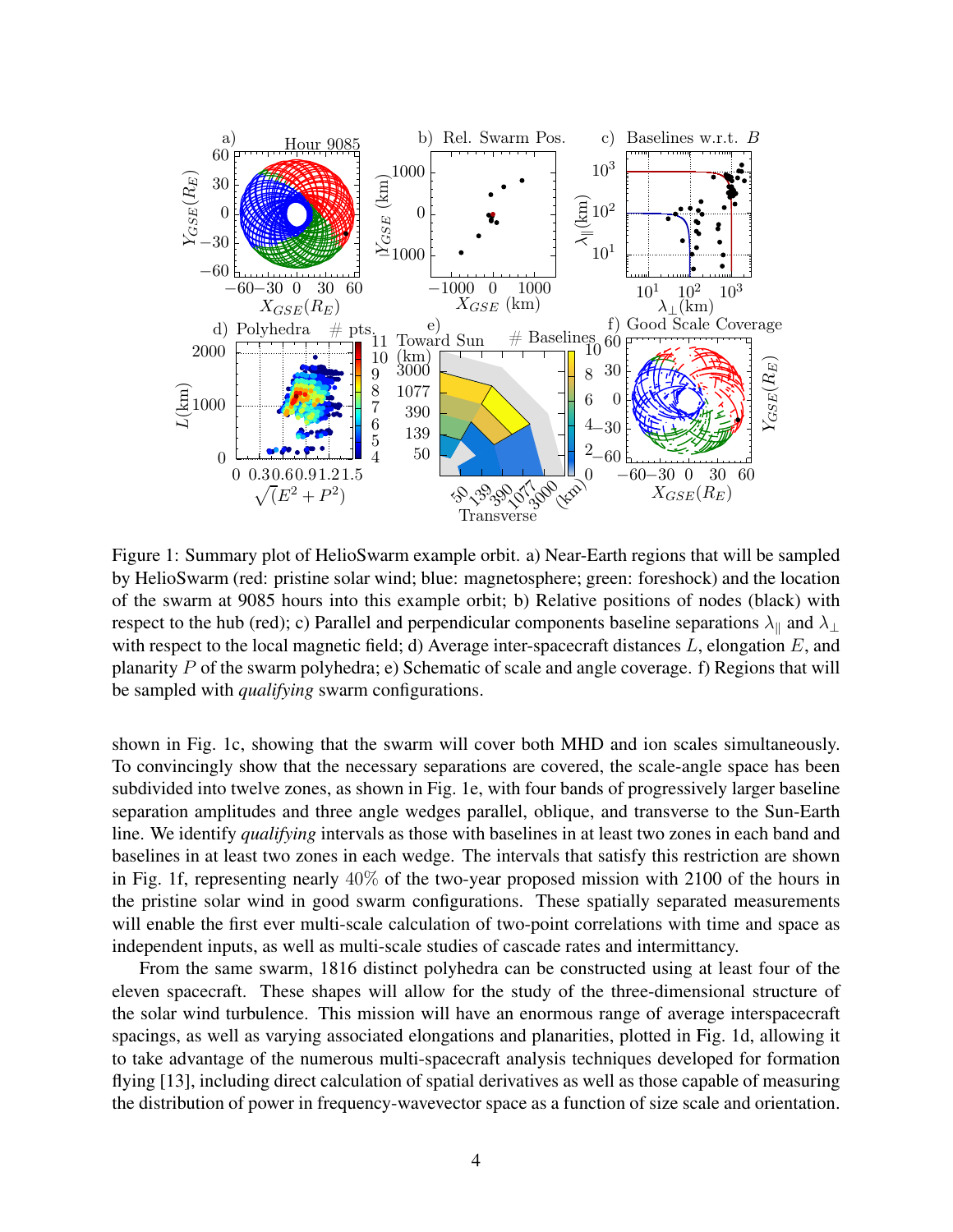

Figure 1: Summary plot of HelioSwarm example orbit. a) Near-Earth regions that will be sampled by HelioSwarm (red: pristine solar wind; blue: magnetosphere; green: foreshock) and the location of the swarm at 9085 hours into this example orbit; b) Relative positions of nodes (black) with respect to the hub (red); c) Parallel and perpendicular components baseline separations  $\lambda_{\parallel}$  and  $\lambda_{\perp}$ with respect to the local magnetic field; d) Average inter-spacecraft distances  $L$ , elongation  $E$ , and planarity P of the swarm polyhedra; e) Schematic of scale and angle coverage. f) Regions that will be sampled with *qualifying* swarm configurations.

shown in Fig. 1c, showing that the swarm will cover both MHD and ion scales simultaneously. To convincingly show that the necessary separations are covered, the scale-angle space has been subdivided into twelve zones, as shown in Fig. 1e, with four bands of progressively larger baseline separation amplitudes and three angle wedges parallel, oblique, and transverse to the Sun-Earth line. We identify *qualifying* intervals as those with baselines in at least two zones in each band and baselines in at least two zones in each wedge. The intervals that satisfy this restriction are shown in Fig. 1f, representing nearly 40% of the two-year proposed mission with 2100 of the hours in the pristine solar wind in good swarm configurations. These spatially separated measurements will enable the first ever multi-scale calculation of two-point correlations with time and space as independent inputs, as well as multi-scale studies of cascade rates and intermittancy.

From the same swarm, 1816 distinct polyhedra can be constructed using at least four of the eleven spacecraft. These shapes will allow for the study of the three-dimensional structure of the solar wind turbulence. This mission will have an enormous range of average interspacecraft spacings, as well as varying associated elongations and planarities, plotted in Fig. 1d, allowing it to take advantage of the numerous multi-spacecraft analysis techniques developed for formation flying [13], including direct calculation of spatial derivatives as well as those capable of measuring the distribution of power in frequency-wavevector space as a function of size scale and orientation.